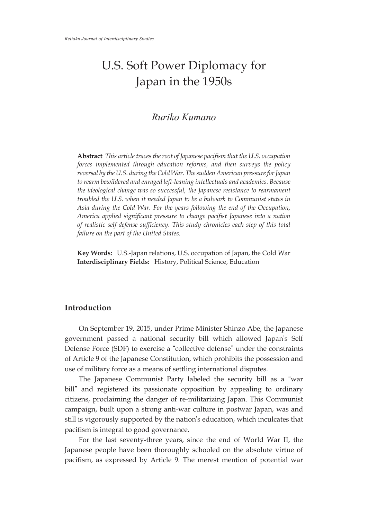# U.S. Soft Power Diplomacy for Japan in the 1950s

## *Ruriko Kumano*

**Abstract** *This article traces the root of Japanese pacifism that the U.S. occupation forces implemented through education reforms, and then surveys the policy reversal by the U.S. during the Cold War. The sudden American pressure for Japan to rearm bewildered and enraged left-leaning intellectuals and academics. Because the ideological change was so successful, the Japanese resistance to rearmament troubled the U.S. when it needed Japan to be a bulwark to Communist states in Asia during the Cold War. For the years following the end of the Occupation, America applied significant pressure to change pacifist Japanese into a nation of realistic self-defense sufficiency. This study chronicles each step of this total failure on the part of the United States.*

**Key Words:** U.S.-Japan relations, U.S. occupation of Japan, the Cold War **Interdisciplinary Fields:** History, Political Science, Education

### **Introduction**

On September 19, 2015, under Prime Minister Shinzo Abe, the Japanese government passed a national security bill which allowed Japan's Self Defense Force (SDF) to exercise a "collective defense" under the constraints of Article 9 of the Japanese Constitution, which prohibits the possession and use of military force as a means of settling international disputes.

The Japanese Communist Party labeled the security bill as a "war bill" and registered its passionate opposition by appealing to ordinary citizens, proclaiming the danger of re-militarizing Japan. This Communist campaign, built upon a strong anti-war culture in postwar Japan, was and still is vigorously supported by the nation's education, which inculcates that pacifism is integral to good governance.

For the last seventy-three years, since the end of World War II, the Japanese people have been thoroughly schooled on the absolute virtue of pacifism, as expressed by Article 9. The merest mention of potential war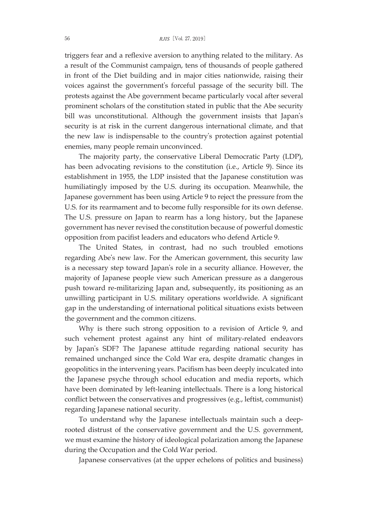triggers fear and a reflexive aversion to anything related to the military. As a result of the Communist campaign, tens of thousands of people gathered in front of the Diet building and in major cities nationwide, raising their voices against the government's forceful passage of the security bill. The protests against the Abe government became particularly vocal after several prominent scholars of the constitution stated in public that the Abe security bill was unconstitutional. Although the government insists that Japan's security is at risk in the current dangerous international climate, and that the new law is indispensable to the country's protection against potential enemies, many people remain unconvinced.

The majority party, the conservative Liberal Democratic Party (LDP), has been advocating revisions to the constitution (i.e., Article 9). Since its establishment in 1955, the LDP insisted that the Japanese constitution was humiliatingly imposed by the U.S. during its occupation. Meanwhile, the Japanese government has been using Article 9 to reject the pressure from the U.S. for its rearmament and to become fully responsible for its own defense. The U.S. pressure on Japan to rearm has a long history, but the Japanese government has never revised the constitution because of powerful domestic opposition from pacifist leaders and educators who defend Article 9.

The United States, in contrast, had no such troubled emotions regarding Abe's new law. For the American government, this security law is a necessary step toward Japan's role in a security alliance. However, the majority of Japanese people view such American pressure as a dangerous push toward re-militarizing Japan and, subsequently, its positioning as an unwilling participant in U.S. military operations worldwide. A significant gap in the understanding of international political situations exists between the government and the common citizens.

Why is there such strong opposition to a revision of Article 9, and such vehement protest against any hint of military-related endeavors by Japan's SDF? The Japanese attitude regarding national security has remained unchanged since the Cold War era, despite dramatic changes in geopolitics in the intervening years. Pacifism has been deeply inculcated into the Japanese psyche through school education and media reports, which have been dominated by left-leaning intellectuals. There is a long historical conflict between the conservatives and progressives (e.g., leftist, communist) regarding Japanese national security.

To understand why the Japanese intellectuals maintain such a deeprooted distrust of the conservative government and the U.S. government, we must examine the history of ideological polarization among the Japanese during the Occupation and the Cold War period.

Japanese conservatives (at the upper echelons of politics and business)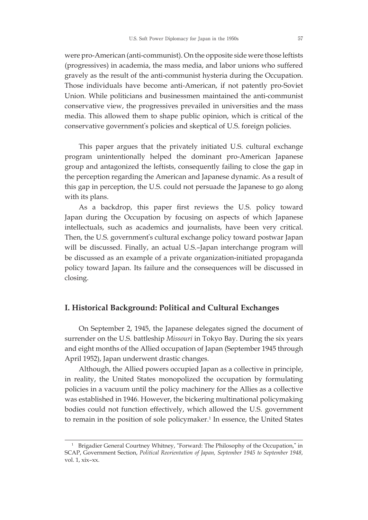were pro-American (anti-communist). On the opposite side were those leftists (progressives) in academia, the mass media, and labor unions who suffered gravely as the result of the anti-communist hysteria during the Occupation. Those individuals have become anti-American, if not patently pro-Soviet Union. While politicians and businessmen maintained the anti-communist conservative view, the progressives prevailed in universities and the mass media. This allowed them to shape public opinion, which is critical of the conservative government's policies and skeptical of U.S. foreign policies.

This paper argues that the privately initiated U.S. cultural exchange program unintentionally helped the dominant pro-American Japanese group and antagonized the leftists, consequently failing to close the gap in the perception regarding the American and Japanese dynamic. As a result of this gap in perception, the U.S. could not persuade the Japanese to go along with its plans.

As a backdrop, this paper first reviews the U.S. policy toward Japan during the Occupation by focusing on aspects of which Japanese intellectuals, such as academics and journalists, have been very critical. Then, the U.S. government's cultural exchange policy toward postwar Japan will be discussed. Finally, an actual U.S.–Japan interchange program will be discussed as an example of a private organization-initiated propaganda policy toward Japan. Its failure and the consequences will be discussed in closing.

#### **I. Historical Background: Political and Cultural Exchanges**

On September 2, 1945, the Japanese delegates signed the document of surrender on the U.S. battleship *Missouri* in Tokyo Bay. During the six years and eight months of the Allied occupation of Japan (September 1945 through April 1952), Japan underwent drastic changes.

Although, the Allied powers occupied Japan as a collective in principle, in reality, the United States monopolized the occupation by formulating policies in a vacuum until the policy machinery for the Allies as a collective was established in 1946. However, the bickering multinational policymaking bodies could not function effectively, which allowed the U.S. government to remain in the position of sole policymaker. <sup>1</sup> In essence, the United States

<sup>&</sup>lt;sup>1</sup> Brigadier General Courtney Whitney, "Forward: The Philosophy of the Occupation," in SCAP, Government Section, *Political Reorientation of Japan, September 1945 to September 1948*, vol. 1, xix–xx.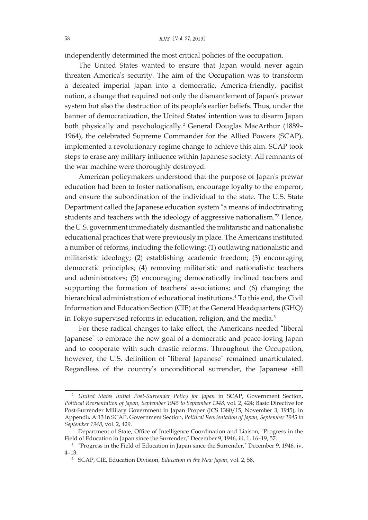independently determined the most critical policies of the occupation.

The United States wanted to ensure that Japan would never again threaten America's security. The aim of the Occupation was to transform a defeated imperial Japan into a democratic, America-friendly, pacifist nation, a change that required not only the dismantlement of Japan's prewar system but also the destruction of its people's earlier beliefs. Thus, under the banner of democratization, the United States' intention was to disarm Japan both physically and psychologically. <sup>2</sup> General Douglas MacArthur (1889– 1964), the celebrated Supreme Commander for the Allied Powers (SCAP), implemented a revolutionary regime change to achieve this aim. SCAP took steps to erase any military influence within Japanese society. All remnants of the war machine were thoroughly destroyed.

American policymakers understood that the purpose of Japan's prewar education had been to foster nationalism, encourage loyalty to the emperor, and ensure the subordination of the individual to the state. The U.S. State Department called the Japanese education system "a means of indoctrinating students and teachers with the ideology of aggressive nationalism."<sup>3</sup> Hence, the U.S. government immediately dismantled the militaristic and nationalistic educational practices that were previously in place. The Americans instituted a number of reforms, including the following: (1) outlawing nationalistic and militaristic ideology; (2) establishing academic freedom; (3) encouraging democratic principles; (4) removing militaristic and nationalistic teachers and administrators; (5) encouraging democratically inclined teachers and supporting the formation of teachers' associations; and (6) changing the hierarchical administration of educational institutions. <sup>4</sup> To this end, the Civil Information and Education Section (CIE) at the General Headquarters (GHQ) in Tokyo supervised reforms in education, religion, and the media. 5

For these radical changes to take effect, the Americans needed "liberal Japanese" to embrace the new goal of a democratic and peace-loving Japan and to cooperate with such drastic reforms. Throughout the Occupation, however, the U.S. definition of "liberal Japanese" remained unarticulated. Regardless of the country's unconditional surrender, the Japanese still

<sup>2</sup> *United States Initial Post-Surrender Policy for Japan* in SCAP, Government Section, *Political Reorientation of Japan, September 1945 to September 1948*, vol. 2, 424; Basic Directive for Post-Surrender Military Government in Japan Proper (JCS 1380/15, November 3, 1945), in Appendix A:13 in SCAP, Government Section, *Political Reorientation of Japan, September 1945 to September 1948*, vol. 2, 429.

<sup>&</sup>lt;sup>3</sup> Department of State, Office of Intelligence Coordination and Liaison, "Progress in the Field of Education in Japan since the Surrender," December 9, 1946, iii, 1, 16–19, 57.

<sup>4</sup> "Progress in the Field of Education in Japan since the Surrender," December 9, 1946, iv, 4–13.

<sup>5</sup> SCAP, CIE, Education Division, *Education in the New Japan*, vol. 2, 58.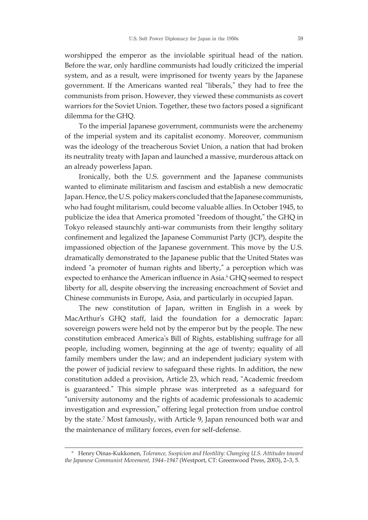worshipped the emperor as the inviolable spiritual head of the nation. Before the war, only hardline communists had loudly criticized the imperial system, and as a result, were imprisoned for twenty years by the Japanese government. If the Americans wanted real "liberals," they had to free the communists from prison. However, they viewed these communists as covert warriors for the Soviet Union. Together, these two factors posed a significant dilemma for the GHQ.

To the imperial Japanese government, communists were the archenemy of the imperial system and its capitalist economy. Moreover, communism was the ideology of the treacherous Soviet Union, a nation that had broken its neutrality treaty with Japan and launched a massive, murderous attack on an already powerless Japan.

Ironically, both the U.S. government and the Japanese communists wanted to eliminate militarism and fascism and establish a new democratic Japan. Hence, the U.S. policy makers concluded that the Japanese communists, who had fought militarism, could become valuable allies. In October 1945, to publicize the idea that America promoted "freedom of thought," the GHQ in Tokyo released staunchly anti-war communists from their lengthy solitary confinement and legalized the Japanese Communist Party (JCP), despite the impassioned objection of the Japanese government. This move by the U.S. dramatically demonstrated to the Japanese public that the United States was indeed "a promoter of human rights and liberty," a perception which was expected to enhance the American influence in Asia. <sup>6</sup> GHQ seemed to respect liberty for all, despite observing the increasing encroachment of Soviet and Chinese communists in Europe, Asia, and particularly in occupied Japan.

The new constitution of Japan, written in English in a week by MacArthur's GHQ staff, laid the foundation for a democratic Japan: sovereign powers were held not by the emperor but by the people. The new constitution embraced America's Bill of Rights, establishing suffrage for all people, including women, beginning at the age of twenty; equality of all family members under the law; and an independent judiciary system with the power of judicial review to safeguard these rights. In addition, the new constitution added a provision, Article 23, which read, "Academic freedom is guaranteed." This simple phrase was interpreted as a safeguard for "university autonomy and the rights of academic professionals to academic investigation and expression," offering legal protection from undue control by the state. <sup>7</sup> Most famously, with Article 9, Japan renounced both war and the maintenance of military forces, even for self-defense.

<sup>6</sup> Henry Oinas-Kukkonen, *Tolerance, Suspicion and Hostility: Changing U.S. Attitudes toward the Japanese Communist Movement, 1944–1947* (Westport, CT: Greenwood Press, 2003), 2–3, 5.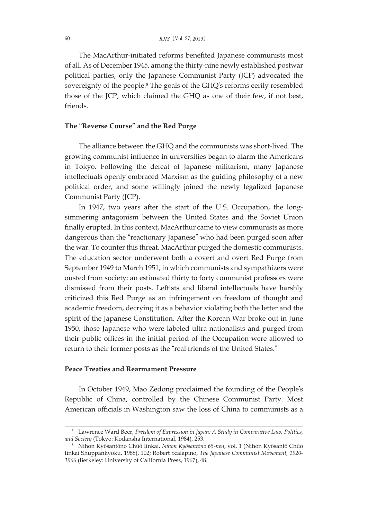The MacArthur-initiated reforms benefited Japanese communists most of all. As of December 1945, among the thirty-nine newly established postwar political parties, only the Japanese Communist Party (JCP) advocated the sovereignty of the people. <sup>8</sup> The goals of the GHQ's reforms eerily resembled those of the JCP, which claimed the GHQ as one of their few, if not best, friends.

#### **The "Reverse Course" and the Red Purge**

The alliance between the GHQ and the communists was short-lived. The growing communist influence in universities began to alarm the Americans in Tokyo. Following the defeat of Japanese militarism, many Japanese intellectuals openly embraced Marxism as the guiding philosophy of a new political order, and some willingly joined the newly legalized Japanese Communist Party (JCP).

In 1947, two years after the start of the U.S. Occupation, the longsimmering antagonism between the United States and the Soviet Union finally erupted. In this context, MacArthur came to view communists as more dangerous than the "reactionary Japanese" who had been purged soon after the war. To counter this threat, MacArthur purged the domestic communists. The education sector underwent both a covert and overt Red Purge from September 1949 to March 1951, in which communists and sympathizers were ousted from society: an estimated thirty to forty communist professors were dismissed from their posts. Leftists and liberal intellectuals have harshly criticized this Red Purge as an infringement on freedom of thought and academic freedom, decrying it as a behavior violating both the letter and the spirit of the Japanese Constitution. After the Korean War broke out in June 1950, those Japanese who were labeled ultra-nationalists and purged from their public offices in the initial period of the Occupation were allowed to return to their former posts as the "real friends of the United States."

#### **Peace Treaties and Rearmament Pressure**

In October 1949, Mao Zedong proclaimed the founding of the People's Republic of China, controlled by the Chinese Communist Party. Most American officials in Washington saw the loss of China to communists as a

<sup>7</sup> Lawrence Ward Beer, *Freedom of Expression in Japan: A Study in Comparative Law, Politics, and Society* (Tokyo: Kodansha International, 1984), 253.

<sup>8</sup> Nihon Kyōsantōno Chūō Iinkai, *Nihon Kyōsantōno 65-nen*, vol. 1 (Nihon Kyōsantō Chūo Iinkai Shuppankyoku, 1988), 102; Robert Scalapino, *The Japanese Communist Movement, 1920- 1966* (Berkeley: University of California Press, 1967), 48.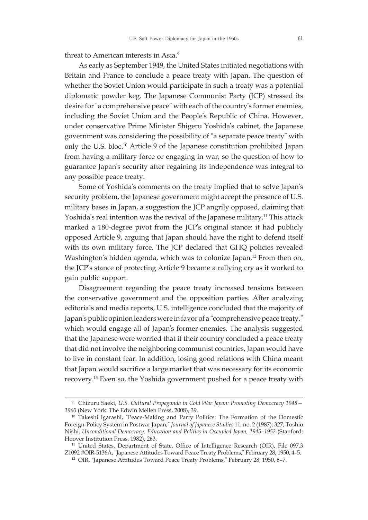threat to American interests in Asia. 9

As early as September 1949, the United States initiated negotiations with Britain and France to conclude a peace treaty with Japan. The question of whether the Soviet Union would participate in such a treaty was a potential diplomatic powder keg. The Japanese Communist Party (JCP) stressed its desire for"a comprehensive peace" with each of the country's former enemies, including the Soviet Union and the People's Republic of China. However, under conservative Prime Minister Shigeru Yoshida's cabinet, the Japanese government was considering the possibility of "a separate peace treaty" with only the U.S. bloc. <sup>10</sup> Article 9 of the Japanese constitution prohibited Japan from having a military force or engaging in war, so the question of how to guarantee Japan's security after regaining its independence was integral to any possible peace treaty.

Some of Yoshida's comments on the treaty implied that to solve Japan's security problem, the Japanese government might accept the presence of U.S. military bases in Japan, a suggestion the JCP angrily opposed, claiming that Yoshida's real intention was the revival of the Japanese military. <sup>11</sup> This attack marked a 180-degree pivot from the JCP's original stance: it had publicly opposed Article 9, arguing that Japan should have the right to defend itself with its own military force. The JCP declared that GHQ policies revealed Washington's hidden agenda, which was to colonize Japan. <sup>12</sup> From then on, the JCP's stance of protecting Article 9 became a rallying cry as it worked to gain public support.

Disagreement regarding the peace treaty increased tensions between the conservative government and the opposition parties. After analyzing editorials and media reports, U.S. intelligence concluded that the majority of Japan's public opinion leaders were infavor of a "comprehensive peace treaty," which would engage all of Japan's former enemies. The analysis suggested that the Japanese were worried that if their country concluded a peace treaty that did not involve the neighboring communist countries, Japan would have to live in constant fear. In addition, losing good relations with China meant that Japan would sacrifice a large market that was necessary for its economic recovery. <sup>13</sup> Even so, the Yoshida government pushed for a peace treaty with

<sup>9</sup> Chizuru Saeki, *U.S. Cultural Propaganda in Cold War Japan: Promoting Democracy 1948— 1960* (New York: The Edwin Mellen Press, 2008), 39.

<sup>10</sup> Takeshi Igarashi, "Peace-Making and Party Politics: The Formation of the Domestic Foreign-Policy System in Postwar Japan," *Journal of Japanese Studies* 11, no. 2 (1987): 327; Toshio Nishi, *Unconditional Democracy: Education and Politics in Occupied Japan, 1945–1952* (Stanford: Hoover Institution Press, 1982), 263.

<sup>&</sup>lt;sup>11</sup> United States, Department of State, Office of Intelligence Research (OIR), File 097.3 Z1092 #OIR-5136A, "Japanese Attitudes Toward Peace Treaty Problems," February 28, 1950, 4–5.

<sup>&</sup>lt;sup>12</sup> OIR, "Japanese Attitudes Toward Peace Treaty Problems," February 28, 1950, 6-7.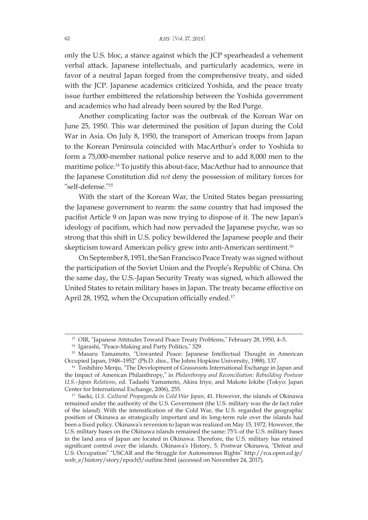only the U.S. bloc, a stance against which the JCP spearheaded a vehement verbal attack. Japanese intellectuals, and particularly academics, were in favor of a neutral Japan forged from the comprehensive treaty, and sided with the JCP. Japanese academics criticized Yoshida, and the peace treaty issue further embittered the relationship between the Yoshida government and academics who had already been soured by the Red Purge.

Another complicating factor was the outbreak of the Korean War on June 25, 1950. This war determined the position of Japan during the Cold War in Asia. On July 8, 1950, the transport of American troops from Japan to the Korean Peninsula coincided with MacArthur's order to Yoshida to form a 75,000-member national police reserve and to add 8,000 men to the maritime police. <sup>14</sup> To justify this about-face, MacArthur had to announce that the Japanese Constitution did *not* deny the possession of military forces for "self-defense."<sup>15</sup>

With the start of the Korean War, the United States began pressuring the Japanese government to rearm: the same country that had imposed the pacifist Article 9 on Japan was now trying to dispose of it. The new Japan's ideology of pacifism, which had now pervaded the Japanese psyche, was so strong that this shift in U.S. policy bewildered the Japanese people and their skepticism toward American policy grew into anti-American sentiment. 16

On September 8, 1951, the San Francisco Peace Treaty was signed without the participation of the Soviet Union and the People's Republic of China. On the same day, the U.S.-Japan Security Treaty was signed, which allowed the United States to retain military bases in Japan. The treaty became effective on April 28, 1952, when the Occupation officially ended.<sup>17</sup>

<sup>&</sup>lt;sup>13</sup> OIR, "Japanese Attitudes Toward Peace Treaty Problems," February 28, 1950, 4-5.

<sup>14</sup> Igarashi, "Peace-Making and Party Politics," 329.

<sup>&</sup>lt;sup>15</sup> Masaru Tamamoto, "Unwanted Peace: Japanese Intellectual Thought in American Occupied Japan, 1948–1952" (Ph.D. diss., The Johns Hopkins University, 1988), 137.

<sup>&</sup>lt;sup>16</sup> Toshihiro Menju, "The Development of Grassroots International Exchange in Japan and the Impact of American Philanthropy," in *Philanthropy and Reconciliation: Rebuilding Postwar U.S.–Japan Relations*, ed. Tadashi Yamamoto, Akira Iriye, and Makoto Iokibe (Tokyo: Japan Center for International Exchange, 2006), 255.

<sup>17</sup> Saeki, *U.S. Cultural Propaganda in Cold War Japan*, 41. However, the islands of Okinawa remained under the authority of the U.S. Government (the U.S. military was the de fact ruler of the island). With the intensification of the Cold War, the U.S. regarded the geographic position of Okinawa as strategically important and its long-term rule over the islands had been a fixed policy. Okinawa's reversion to Japan was realized on May 15, 1972. However, the U.S. military bases on the Okinawa islands remained the same: 75% of the U.S. military bases in the land area of Japan are located in Okinawa. Therefore, the U.S. military has retained significant control over the islands. Okinawa's History, 5. Postwar Okinawa, "Defeat and U.S. Occupation" "USCAR and the Struggle for Autonomous Rights" http://rca.open.ed.jp/ web\_e/history/story/epoch5/outline.html (accessed on November 24, 2017).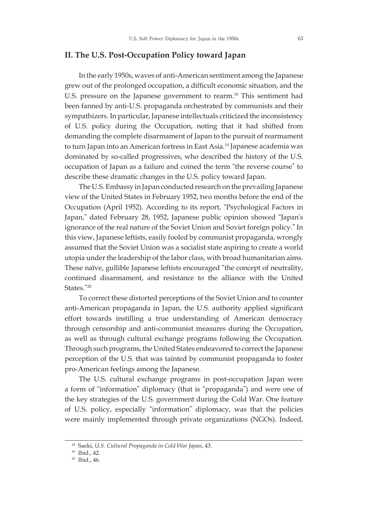#### **II. The U.S. Post-Occupation Policy toward Japan**

In the early 1950s, waves of anti-American sentiment among the Japanese grew out of the prolonged occupation, a difficult economic situation, and the U.S. pressure on the Japanese government to rearm. <sup>18</sup> This sentiment had been fanned by anti-U.S. propaganda orchestrated by communists and their sympathizers. In particular, Japanese intellectuals criticized the inconsistency of U.S. policy during the Occupation, noting that it had shifted from demanding the complete disarmament of Japan to the pursuit of rearmament to turn Japan into an American fortress in East Asia. <sup>19</sup> Japanese academia was dominated by so-called progressives, who described the history of the U.S. occupation of Japan as a failure and coined the term "the reverse course" to describe these dramatic changes in the U.S. policy toward Japan.

The U.S. Embassy in Japan conducted research on the prevailing Japanese view of the United States in February 1952, two months before the end of the Occupation (April 1952). According to its report, "Psychological Factors in Japan," dated February 28, 1952, Japanese public opinion showed "Japan's ignorance of the real nature of the Soviet Union and Soviet foreign policy." In this view, Japanese leftists, easily fooled by communist propaganda, wrongly assumed that the Soviet Union was a socialist state aspiring to create a world utopia under the leadership of the labor class, with broad humanitarian aims. These naïve, gullible Japanese leftists encouraged "the concept of neutrality, continued disarmament, and resistance to the alliance with the United States."<sup>20</sup>

To correct these distorted perceptions of the Soviet Union and to counter anti-American propaganda in Japan, the U.S. authority applied significant effort towards instilling a true understanding of American democracy through censorship and anti-communist measures during the Occupation, as well as through cultural exchange programs following the Occupation. Through such programs, the United States endeavored to correct the Japanese perception of the U.S. that was tainted by communist propaganda to foster pro-American feelings among the Japanese.

The U.S. cultural exchange programs in post-occupation Japan were a form of "information" diplomacy (that is "propaganda") and were one of the key strategies of the U.S. government during the Cold War. One feature of U.S. policy, especially "information" diplomacy, was that the policies were mainly implemented through private organizations (NGOs). Indeed,

<sup>18</sup> Saeki, *U.S. Cultural Propaganda in Cold War Japan*, 43.

<sup>19</sup> Ibid., 42.

<sup>20</sup> Ibid., 46.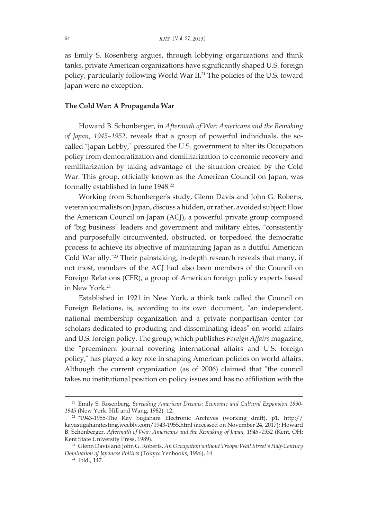as Emily S. Rosenberg argues, through lobbying organizations and think tanks, private American organizations have significantly shaped U.S. foreign policy, particularly following World War II. <sup>21</sup> The policies of the U.S. toward Japan were no exception.

#### **The Cold War: A Propaganda War**

Howard B. Schonberger, in *Aftermath of War: Americans and the Remaking of Japan, 1945–1952*, reveals that a group of powerful individuals, the socalled "Japan Lobby," pressured the U.S. government to alter its Occupation policy from democratization and demilitarization to economic recovery and remilitarization by taking advantage of the situation created by the Cold War. This group, officially known as the American Council on Japan, was formally established in June 1948. 22

Working from Schonberger's study, Glenn Davis and John G. Roberts, veteran journalists on Japan, discuss a hidden, orrather, avoided subject: How the American Council on Japan (ACJ), a powerful private group composed of "big business" leaders and government and military elites, "consistently and purposefully circumvented, obstructed, or torpedoed the democratic process to achieve its objective of maintaining Japan as a dutiful American Cold War ally."<sup>23</sup> Their painstaking, in-depth research reveals that many, if not most, members of the ACJ had also been members of the Council on Foreign Relations (CFR), a group of American foreign policy experts based in New York. 24

Established in 1921 in New York, a think tank called the Council on Foreign Relations, is, according to its own document, "an independent, national membership organization and a private nonpartisan center for scholars dedicated to producing and disseminating ideas" on world affairs and U.S. foreign policy. The group, which publishes *Foreign Affairs* magazine, the "preeminent journal covering international affairs and U.S. foreign policy," has played a key role in shaping American policies on world affairs. Although the current organization (as of 2006) claimed that "the council takes no institutional position on policy issues and has no affiliation with the

<sup>21</sup> Emily S. Rosenberg, *Spreading American Dreams: Economic and Cultural Expansion 1890- 1945* (New York: Hill and Wang, 1982), 12.

<sup>22</sup> "1943-1955-The Kay Sugahara Electronic Archives (working draft), p1, http:// kayasugaharatesting.weebly.com/1943-1955.html (accessed on November 24, 2017); Howard B. Schonberger, *Aftermath of War: Americans and the Remaking of Japan, 1945–1952* (Kent, OH: Kent State University Press, 1989).

<sup>23</sup> Glenn Davis and John G. Roberts, *An Occupation without Troops: Wall Street's Half-Century Domination of Japanese Politics* (Tokyo: Yenbooks, 1996), 14.

<sup>24</sup> Ibid., 147.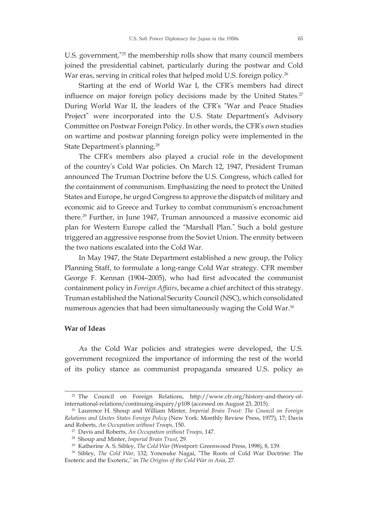U.S. government,"<sup>25</sup> the membership rolls show that many council members joined the presidential cabinet, particularly during the postwar and Cold War eras, serving in critical roles that helped mold U.S. foreign policy. $^{26}$ 

Starting at the end of World War I, the CFR's members had direct influence on major foreign policy decisions made by the United States. 27 During World War II, the leaders of the CFR's "War and Peace Studies Project" were incorporated into the U.S. State Department's Advisory Committee on Postwar Foreign Policy. In other words, the CFR's own studies on wartime and postwar planning foreign policy were implemented in the State Department's planning. 28

The CFR's members also played a crucial role in the development of the country's Cold War policies. On March 12, 1947, President Truman announced The Truman Doctrine before the U.S. Congress, which called for the containment of communism. Emphasizing the need to protect the United States and Europe, he urged Congress to approve the dispatch of military and economic aid to Greece and Turkey to combat communism's encroachment there. <sup>29</sup> Further, in June 1947, Truman announced a massive economic aid plan for Western Europe called the "Marshall Plan." Such a bold gesture triggered an aggressive response from the Soviet Union. The enmity between the two nations escalated into the Cold War.

In May 1947, the State Department established a new group, the Policy Planning Staff, to formulate a long-range Cold War strategy. CFR member George F. Kennan (1904–2005), who had first advocated the communist containment policy in *Foreign Affairs*, became a chief architect of this strategy. Truman established the National Security Council (NSC), which consolidated numerous agencies that had been simultaneously waging the Cold War. $^{\text{30}}$ 

#### **War of Ideas**

As the Cold War policies and strategies were developed, the U.S. government recognized the importance of informing the rest of the world of its policy stance as communist propaganda smeared U.S. policy as

<sup>25</sup> The Council on Foreign Relations, http://www.cfr.org/history-and-theory-ofinternational-relations/continuing-inquiry/p108 (accessed on August 23, 2015).

<sup>26</sup> Laurence H. Shoup and William Minter, *Imperial Brain Trust: The Council on Foreign Relations and Unites States Foreign Policy* (New York: Monthly Review Press, 1977), 17; Davis and Roberts, *An Occupation without Troops*, 150.

<sup>27</sup> Davis and Roberts, *An Occupation without Troops*, 147.

<sup>28</sup> Shoup and Minter, *Imperial Brain Trust*, 29.

<sup>&</sup>lt;sup>29</sup> Katherine A. S. Sibley, *The Cold War* (Westport: Greenwood Press, 1998), 8, 139.

<sup>30</sup> Sibley, *The Cold War*, 132; Yonosuke Nagai, "The Roots of Cold War Doctrine: The Esoteric and the Exoteric," in *The Origins of the Cold War in Asia*, 27.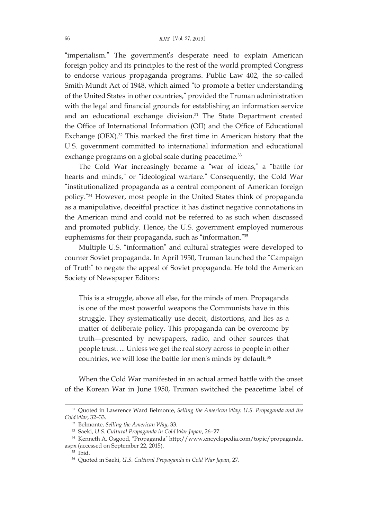"imperialism." The government's desperate need to explain American foreign policy and its principles to the rest of the world prompted Congress to endorse various propaganda programs. Public Law 402, the so-called Smith-Mundt Act of 1948, which aimed "to promote a better understanding of the United States in other countries," provided the Truman administration with the legal and financial grounds for establishing an information service and an educational exchange division. <sup>31</sup> The State Department created the Office of International Information (OII) and the Office of Educational Exchange (OEX). <sup>32</sup> This marked the first time in American history that the U.S. government committed to international information and educational exchange programs on a global scale during peacetime.<sup>33</sup>

The Cold War increasingly became a "war of ideas," a "battle for hearts and minds," or "ideological warfare." Consequently, the Cold War "institutionalized propaganda as a central component of American foreign policy."<sup>34</sup> However, most people in the United States think of propaganda as a manipulative, deceitful practice: it has distinct negative connotations in the American mind and could not be referred to as such when discussed and promoted publicly. Hence, the U.S. government employed numerous euphemisms for their propaganda, such as "information."<sup>35</sup>

Multiple U.S. "information" and cultural strategies were developed to counter Soviet propaganda. In April 1950, Truman launched the "Campaign of Truth" to negate the appeal of Soviet propaganda. He told the American Society of Newspaper Editors:

This is a struggle, above all else, for the minds of men. Propaganda is one of the most powerful weapons the Communists have in this struggle. They systematically use deceit, distortions, and lies as a matter of deliberate policy. This propaganda can be overcome by truth—presented by newspapers, radio, and other sources that people trust. ... Unless we get the real story across to people in other countries, we will lose the battle for men's minds by default. 36

When the Cold War manifested in an actual armed battle with the onset of the Korean War in June 1950, Truman switched the peacetime label of

<sup>31</sup> Quoted in Lawrence Ward Belmonte, *Selling the American Way: U.S. Propaganda and the Cold War*, 32–33.

<sup>32</sup> Belmonte, *Selling the American Way*, 33.

<sup>33</sup> Saeki, *U.S. Cultural Propaganda in Cold War Japan*, 26–27.

<sup>34</sup> Kenneth A. Osgood, "Propaganda" http://www.encyclopedia.com/topic/propaganda. aspx (accessed on September 22, 2015).

<sup>35</sup> Ibid.

<sup>36</sup> Quoted in Saeki, *U.S. Cultural Propaganda in Cold War Japan*, 27.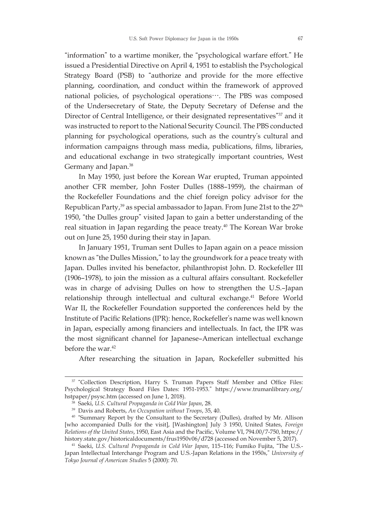"information" to a wartime moniker, the "psychological warfare effort." He issued a Presidential Directive on April 4, 1951 to establish the Psychological Strategy Board (PSB) to "authorize and provide for the more effective planning, coordination, and conduct within the framework of approved national policies, of psychological operations…. The PBS was composed of the Undersecretary of State, the Deputy Secretary of Defense and the Director of Central Intelligence, or their designated representatives"<sup>37</sup> and it was instructed to report to the National Security Council. The PBS conducted planning for psychological operations, such as the country's cultural and information campaigns through mass media, publications, films, libraries, and educational exchange in two strategically important countries, West Germany and Japan. 38

In May 1950, just before the Korean War erupted, Truman appointed another CFR member, John Foster Dulles (1888–1959), the chairman of the Rockefeller Foundations and the chief foreign policy advisor for the Republican Party, <sup>39</sup> as special ambassador to Japan. From June 21st to the 27th 1950, "the Dulles group" visited Japan to gain a better understanding of the real situation in Japan regarding the peace treaty. <sup>40</sup> The Korean War broke out on June 25, 1950 during their stay in Japan.

In January 1951, Truman sent Dulles to Japan again on a peace mission known as "the Dulles Mission," to lay the groundwork for a peace treaty with Japan. Dulles invited his benefactor, philanthropist John. D. Rockefeller III (1906–1978), to join the mission as a cultural affairs consultant. Rockefeller was in charge of advising Dulles on how to strengthen the U.S.–Japan relationship through intellectual and cultural exchange. <sup>41</sup> Before World War II, the Rockefeller Foundation supported the conferences held by the Institute of Pacific Relations (IPR): hence, Rockefeller's name was well known in Japan, especially among financiers and intellectuals. In fact, the IPR was the most significant channel for Japanese–American intellectual exchange before the war. 42

After researching the situation in Japan, Rockefeller submitted his

<sup>&</sup>lt;sup>37</sup> "Collection Description, Harry S. Truman Papers Staff Member and Office Files: Psychological Strategy Board Files Dates: 1951-1953." https://www.trumanlibrary.org/ hstpaper/psysc.htm (accessed on June 1, 2018).

<sup>38</sup> Saeki, *U.S. Cultural Propaganda in Cold War Japan*, 28.

<sup>39</sup> Davis and Roberts, *An Occupation without Troops*, 35, 40.

<sup>40</sup> "Summary Report by the Consultant to the Secretary (Dulles), drafted by Mr. Allison [who accompanied Dulls for the visit], [Washington] July 3 1950, United States, *Foreign Relations of the United States*, 1950, East Asia and the Pacific, Volume VI, 794.00/7-750, https:// history.state.gov/historicaldocuments/frus1950v06/d728 (accessed on November 5, 2017).

<sup>41</sup> Saeki, *U.S. Cultural Propaganda in Cold War Japan*, 115–116; Fumiko Fujita, "The U.S.- Japan Intellectual Interchange Program and U.S.-Japan Relations in the 1950s," *University of Tokyo Journal of American Studies* 5 (2000): 70.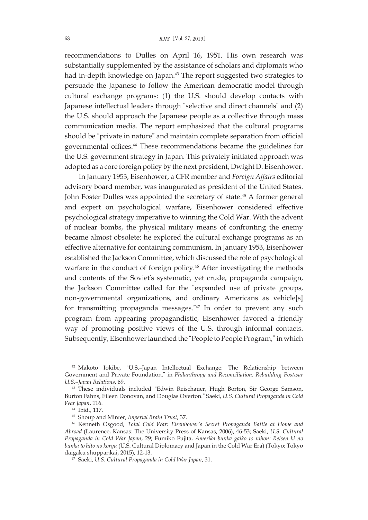recommendations to Dulles on April 16, 1951. His own research was substantially supplemented by the assistance of scholars and diplomats who had in-depth knowledge on Japan. <sup>43</sup> The report suggested two strategies to persuade the Japanese to follow the American democratic model through cultural exchange programs: (1) the U.S. should develop contacts with Japanese intellectual leaders through "selective and direct channels" and (2) the U.S. should approach the Japanese people as a collective through mass communication media. The report emphasized that the cultural programs should be "private in nature" and maintain complete separation from official governmental offices. <sup>44</sup> These recommendations became the guidelines for the U.S. government strategy in Japan. This privately initiated approach was adopted as a core foreign policy by the next president, Dwight D. Eisenhower.

In January 1953, Eisenhower, a CFR member and *Foreign Affairs* editorial advisory board member, was inaugurated as president of the United States. John Foster Dulles was appointed the secretary of state. <sup>45</sup> A former general and expert on psychological warfare, Eisenhower considered effective psychological strategy imperative to winning the Cold War. With the advent of nuclear bombs, the physical military means of confronting the enemy became almost obsolete: he explored the cultural exchange programs as an effective alternative for containing communism. In January 1953, Eisenhower established the Jackson Committee, which discussed the role of psychological warfare in the conduct of foreign policy. <sup>46</sup> After investigating the methods and contents of the Soviet's systematic, yet crude, propaganda campaign, the Jackson Committee called for the "expanded use of private groups, non-governmental organizations, and ordinary Americans as vehicle[s] for transmitting propaganda messages."<sup>47</sup> In order to prevent any such program from appearing propagandistic, Eisenhower favored a friendly way of promoting positive views of the U.S. through informal contacts. Subsequently, Eisenhowerlaunched the "People to People Program,"in which

<sup>42</sup> Makoto Iokibe, "U.S.–Japan Intellectual Exchange: The Relationship between Government and Private Foundation," in *Philanthropy and Reconciliation: Rebuilding Postwar U.S.–Japan Relations*, 69.

<sup>&</sup>lt;sup>43</sup> These individuals included "Edwin Reischauer, Hugh Borton, Sir George Samson, Burton Fahns, Eileen Donovan, and Douglas Overton." Saeki, *U.S. Cultural Propaganda in Cold War Japan*, 116.

<sup>44</sup> Ibid., 117.

<sup>45</sup> Shoup and Minter, *Imperial Brain Trust*, 37.

<sup>46</sup> Kenneth Osgood, *Total Cold War: Eisenhower's Secret Propaganda Battle at Home and Abroad* (Laurence, Kansas: The University Press of Kansas, 2006), 46-53; Saeki, *U.S. Cultural Propaganda in Cold War Japan*, 29; Fumiko Fujita, *Amerika bunka gaiko to nihon: Reisen ki no bunka to hito no koryu* (U.S. Cultural Diplomacy and Japan in the Cold War Era) (Tokyo: Tokyo daigaku shuppankai, 2015), 12-13.

<sup>47</sup> Saeki, *U.S. Cultural Propaganda in Cold War Japan*, 31.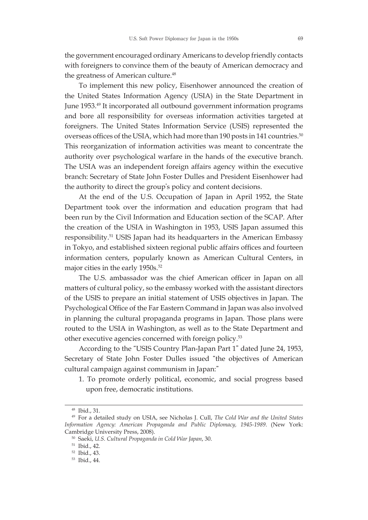the government encouraged ordinary Americans to develop friendly contacts with foreigners to convince them of the beauty of American democracy and the greatness of American culture. 48

To implement this new policy, Eisenhower announced the creation of the United States Information Agency (USIA) in the State Department in June 1953. <sup>49</sup> It incorporated all outbound government information programs and bore all responsibility for overseas information activities targeted at foreigners. The United States Information Service (USIS) represented the overseas offices of the USIA, which had more than 190 posts in 141 countries. 50 This reorganization of information activities was meant to concentrate the authority over psychological warfare in the hands of the executive branch. The USIA was an independent foreign affairs agency within the executive branch: Secretary of State John Foster Dulles and President Eisenhower had the authority to direct the group's policy and content decisions.

At the end of the U.S. Occupation of Japan in April 1952, the State Department took over the information and education program that had been run by the Civil Information and Education section of the SCAP. After the creation of the USIA in Washington in 1953, USIS Japan assumed this responsibility. <sup>51</sup> USIS Japan had its headquarters in the American Embassy in Tokyo, and established sixteen regional public affairs offices and fourteen information centers, popularly known as American Cultural Centers, in major cities in the early 1950s. 52

The U.S. ambassador was the chief American officer in Japan on all matters of cultural policy, so the embassy worked with the assistant directors of the USIS to prepare an initial statement of USIS objectives in Japan. The Psychological Office of the Far Eastern Command in Japan was also involved in planning the cultural propaganda programs in Japan. Those plans were routed to the USIA in Washington, as well as to the State Department and other executive agencies concerned with foreign policy. 53

According to the "USIS Country Plan-Japan Part 1" dated June 24, 1953, Secretary of State John Foster Dulles issued "the objectives of American cultural campaign against communism in Japan:"

1. To promote orderly political, economic, and social progress based upon free, democratic institutions.

<sup>48</sup> Ibid., 31.

<sup>49</sup> For a detailed study on USIA, see Nicholas J. Cull, *The Cold War and the United States Information Agency: American Propaganda and Public Diplomacy, 1945-1989*. (New York: Cambridge University Press, 2008).

<sup>50</sup> Saeki, *U.S. Cultural Propaganda in Cold War Japan*, 30.

<sup>51</sup> Ibid., 42.

<sup>52</sup> Ibid., 43.

<sup>53</sup> Ibid., 44.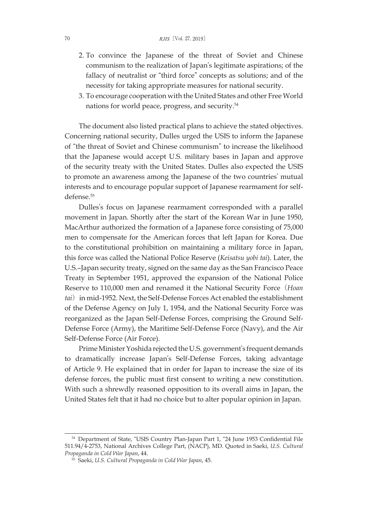- 2. To convince the Japanese of the threat of Soviet and Chinese communism to the realization of Japan's legitimate aspirations; of the fallacy of neutralist or "third force" concepts as solutions; and of the necessity for taking appropriate measures for national security.
- 3. To encourage cooperation with the United States and other Free World nations for world peace, progress, and security. 54

The document also listed practical plans to achieve the stated objectives. Concerning national security, Dulles urged the USIS to inform the Japanese of "the threat of Soviet and Chinese communism" to increase the likelihood that the Japanese would accept U.S. military bases in Japan and approve of the security treaty with the United States. Dulles also expected the USIS to promote an awareness among the Japanese of the two countries' mutual interests and to encourage popular support of Japanese rearmament for selfdefense. 55

Dulles's focus on Japanese rearmament corresponded with a parallel movement in Japan. Shortly after the start of the Korean War in June 1950, MacArthur authorized the formation of a Japanese force consisting of 75,000 men to compensate for the American forces that left Japan for Korea. Due to the constitutional prohibition on maintaining a military force in Japan, this force was called the National Police Reserve (*Keisatsu yobi tai*). Later, the U.S.–Japan security treaty, signed on the same day as the San Francisco Peace Treaty in September 1951, approved the expansion of the National Police Reserve to 110,000 men and renamed it the National Security Force(*Hoan tai*) in mid-1952. Next, the Self-Defense Forces Act enabled the establishment of the Defense Agency on July 1, 1954, and the National Security Force was reorganized as the Japan Self-Defense Forces, comprising the Ground Self-Defense Force (Army), the Maritime Self-Defense Force (Navy), and the Air Self-Defense Force (Air Force).

Prime Minister Yoshida rejected the U.S. government's frequent demands to dramatically increase Japan's Self-Defense Forces, taking advantage of Article 9. He explained that in order for Japan to increase the size of its defense forces, the public must first consent to writing a new constitution. With such a shrewdly reasoned opposition to its overall aims in Japan, the United States felt that it had no choice but to alter popular opinion in Japan.

<sup>54</sup> Department of State, "USIS Country Plan-Japan Part 1, "24 June 1953 Confidential File 511.94/4-2753, National Archives College Part, (NACP), MD. Quoted in Saeki, *U.S. Cultural Propaganda in Cold War Japan*, 44.

<sup>55</sup> Saeki, *U.S. Cultural Propaganda in Cold War Japan*, 45.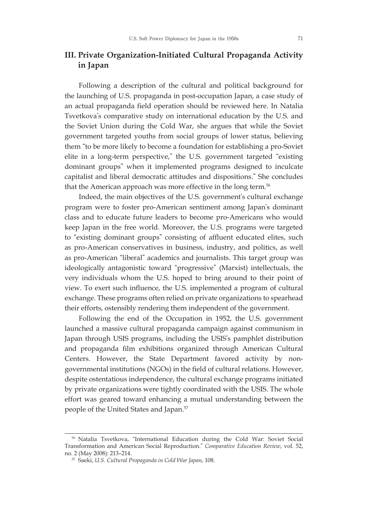## **III. Private Organization-Initiated Cultural Propaganda Activity in Japan**

Following a description of the cultural and political background for the launching of U.S. propaganda in post-occupation Japan, a case study of an actual propaganda field operation should be reviewed here. In Natalia Tsvetkova's comparative study on international education by the U.S. and the Soviet Union during the Cold War, she argues that while the Soviet government targeted youths from social groups of lower status, believing them "to be more likely to become a foundation for establishing a pro-Soviet elite in a long-term perspective," the U.S. government targeted "existing dominant groups" when it implemented programs designed to inculcate capitalist and liberal democratic attitudes and dispositions." She concludes that the American approach was more effective in the long term. 56

Indeed, the main objectives of the U.S. government's cultural exchange program were to foster pro-American sentiment among Japan's dominant class and to educate future leaders to become pro-Americans who would keep Japan in the free world. Moreover, the U.S. programs were targeted to "existing dominant groups" consisting of affluent educated elites, such as pro-American conservatives in business, industry, and politics, as well as pro-American "liberal" academics and journalists. This target group was ideologically antagonistic toward "progressive" (Marxist) intellectuals, the very individuals whom the U.S. hoped to bring around to their point of view. To exert such influence, the U.S. implemented a program of cultural exchange. These programs often relied on private organizations to spearhead their efforts, ostensibly rendering them independent of the government.

Following the end of the Occupation in 1952, the U.S. government launched a massive cultural propaganda campaign against communism in Japan through USIS programs, including the USIS's pamphlet distribution and propaganda film exhibitions organized through American Cultural Centers. However, the State Department favored activity by nongovernmental institutions (NGOs) in the field of cultural relations. However, despite ostentatious independence, the cultural exchange programs initiated by private organizations were tightly coordinated with the USIS. The whole effort was geared toward enhancing a mutual understanding between the people of the United States and Japan. 57

<sup>56</sup> Natalia Tsvetkova, "International Education during the Cold War: Soviet Social Transformation and American Social Reproduction." *Comparative Education Review*, vol. 52, no. 2 (May 2008): 213–214.

<sup>57</sup> Saeki, *U.S. Cultural Propaganda in Cold War Japan*, 108.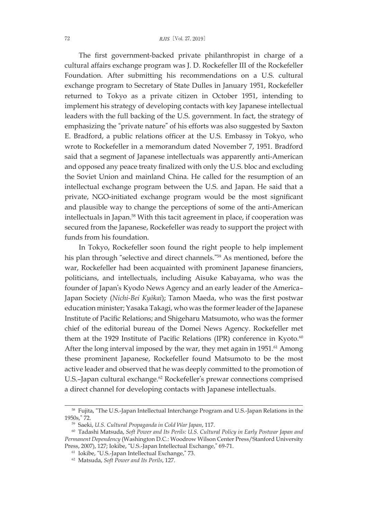The first government-backed private philanthropist in charge of a cultural affairs exchange program was J. D. Rockefeller III of the Rockefeller Foundation. After submitting his recommendations on a U.S. cultural exchange program to Secretary of State Dulles in January 1951, Rockefeller returned to Tokyo as a private citizen in October 1951, intending to implement his strategy of developing contacts with key Japanese intellectual leaders with the full backing of the U.S. government. In fact, the strategy of emphasizing the "private nature" of his efforts was also suggested by Saxton E. Bradford, a public relations officer at the U.S. Embassy in Tokyo, who wrote to Rockefeller in a memorandum dated November 7, 1951. Bradford said that a segment of Japanese intellectuals was apparently anti-American and opposed any peace treaty finalized with only the U.S. bloc and excluding the Soviet Union and mainland China. He called for the resumption of an intellectual exchange program between the U.S. and Japan. He said that a private, NGO-initiated exchange program would be the most significant and plausible way to change the perceptions of some of the anti-American intellectuals in Japan. <sup>58</sup> With this tacit agreement in place, if cooperation was secured from the Japanese, Rockefeller was ready to support the project with funds from his foundation.

In Tokyo, Rockefeller soon found the right people to help implement his plan through "selective and direct channels."<sup>59</sup> As mentioned, before the war, Rockefeller had been acquainted with prominent Japanese financiers, politicians, and intellectuals, including Aisuke Kabayama, who was the founder of Japan's Kyodo News Agency and an early leader of the America– Japan Society (*Nichi-Bei Kyōkai*); Tamon Maeda, who was the first postwar education minister; Yasaka Takagi, who was the former leader of the Japanese Institute of Pacific Relations; and Shigeharu Matsumoto, who was the former chief of the editorial bureau of the Domei News Agency. Rockefeller met them at the 1929 Institute of Pacific Relations (IPR) conference in Kyoto.<sup>60</sup> After the long interval imposed by the war, they met again in 1951.<sup>61</sup> Among these prominent Japanese, Rockefeller found Matsumoto to be the most active leader and observed that he was deeply committed to the promotion of U.S.-Japan cultural exchange.<sup>62</sup> Rockefeller's prewar connections comprised a direct channel for developing contacts with Japanese intellectuals.

<sup>58</sup> Fujita, "The U.S.-Japan Intellectual Interchange Program and U.S.-Japan Relations in the 1950s," 72.

<sup>59</sup> Saeki, *U.S. Cultural Propaganda in Cold War Japan*, 117.

<sup>60</sup> Tadashi Matsuda, *Soft Power and Its Perils: U.S. Cultural Policy in Early Postwar Japan and Permanent Dependency* (Washington D.C.: Woodrow Wilson Center Press/Stanford University Press, 2007), 127; Iokibe, "U.S.-Japan Intellectual Exchange," 69-71.

<sup>61</sup> Iokibe, "U.S.-Japan Intellectual Exchange," 73.

<sup>62</sup> Matsuda, *Soft Power and Its Perils*, 127.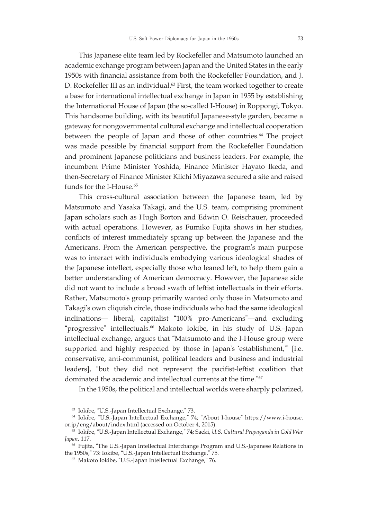This Japanese elite team led by Rockefeller and Matsumoto launched an academic exchange program between Japan and the United States in the early 1950s with financial assistance from both the Rockefeller Foundation, and J. D. Rockefeller III as an individual. <sup>63</sup> First, the team worked together to create a base for international intellectual exchange in Japan in 1955 by establishing the International House of Japan (the so-called I-House) in Roppongi, Tokyo. This handsome building, with its beautiful Japanese-style garden, became a gateway for nongovernmental cultural exchange and intellectual cooperation between the people of Japan and those of other countries. <sup>64</sup> The project was made possible by financial support from the Rockefeller Foundation and prominent Japanese politicians and business leaders. For example, the incumbent Prime Minister Yoshida, Finance Minister Hayato Ikeda, and then-Secretary of Finance Minister Kiichi Miyazawa secured a site and raised funds for the I-House. 65

This cross-cultural association between the Japanese team, led by Matsumoto and Yasaka Takagi, and the U.S. team, comprising prominent Japan scholars such as Hugh Borton and Edwin O. Reischauer, proceeded with actual operations. However, as Fumiko Fujita shows in her studies, conflicts of interest immediately sprang up between the Japanese and the Americans. From the American perspective, the program's main purpose was to interact with individuals embodying various ideological shades of the Japanese intellect, especially those who leaned left, to help them gain a better understanding of American democracy. However, the Japanese side did not want to include a broad swath of leftist intellectuals in their efforts. Rather, Matsumoto's group primarily wanted only those in Matsumoto and Takagi's own cliquish circle, those individuals who had the same ideological inclinations— liberal, capitalist "100% pro-Americans"—and excluding "progressive" intellectuals. <sup>66</sup> Makoto Iokibe, in his study of U.S.–Japan intellectual exchange, argues that "Matsumoto and the I-House group were supported and highly respected by those in Japan's ʻestablishment,'" [i.e. conservative, anti-communist, political leaders and business and industrial leaders], "but they did not represent the pacifist-leftist coalition that dominated the academic and intellectual currents at the time."<sup>67</sup>

In the 1950s, the political and intellectual worlds were sharply polarized,

<sup>63</sup> Iokibe, "U.S.-Japan Intellectual Exchange," 73.

<sup>64</sup> Iokibe, "U.S.-Japan Intellectual Exchange," 74; "About I-house" https://www.i-house. or.jp/eng/about/index.html (accessed on October 4, 2015).

<sup>65</sup> Iokibe, "U.S.-Japan Intellectual Exchange," 74; Saeki, *U.S. Cultural Propaganda in Cold War Japan*, 117.

<sup>66</sup> Fujita, "The U.S.-Japan Intellectual Interchange Program and U.S.-Japanese Relations in the 1950s," 73: Iokibe, "U.S.-Japan Intellectual Exchange," 75.

<sup>67</sup> Makoto Iokibe, "U.S.-Japan Intellectual Exchange," 76.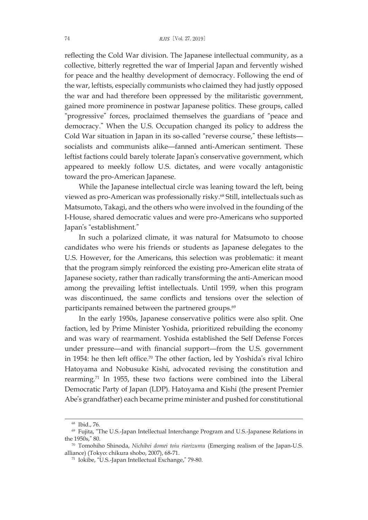reflecting the Cold War division. The Japanese intellectual community, as a collective, bitterly regretted the war of Imperial Japan and fervently wished for peace and the healthy development of democracy. Following the end of the war, leftists, especially communists who claimed they had justly opposed the war and had therefore been oppressed by the militaristic government, gained more prominence in postwar Japanese politics. These groups, called "progressive" forces, proclaimed themselves the guardians of "peace and democracy." When the U.S. Occupation changed its policy to address the Cold War situation in Japan in its so-called "reverse course," these leftists socialists and communists alike—fanned anti-American sentiment. These leftist factions could barely tolerate Japan's conservative government, which appeared to meekly follow U.S. dictates, and were vocally antagonistic toward the pro-American Japanese.

While the Japanese intellectual circle was leaning toward the left, being viewed as pro-American was professionally risky. <sup>68</sup> Still, intellectuals such as Matsumoto, Takagi, and the others who were involved in the founding of the I-House, shared democratic values and were pro-Americans who supported Japan's "establishment."

In such a polarized climate, it was natural for Matsumoto to choose candidates who were his friends or students as Japanese delegates to the U.S. However, for the Americans, this selection was problematic: it meant that the program simply reinforced the existing pro-American elite strata of Japanese society, rather than radically transforming the anti-American mood among the prevailing leftist intellectuals. Until 1959, when this program was discontinued, the same conflicts and tensions over the selection of participants remained between the partnered groups. 69

In the early 1950s, Japanese conservative politics were also split. One faction, led by Prime Minister Yoshida, prioritized rebuilding the economy and was wary of rearmament. Yoshida established the Self Defense Forces under pressure—and with financial support—from the U.S. government in 1954: he then left office. <sup>70</sup> The other faction, led by Yoshida's rival Ichiro Hatoyama and Nobusuke Kishi, advocated revising the constitution and rearming. <sup>71</sup> In 1955, these two factions were combined into the Liberal Democratic Party of Japan (LDP). Hatoyama and Kishi (the present Premier Abe's grandfather) each became prime minister and pushed for constitutional

<sup>68</sup> Ibid., 76.

<sup>69</sup> Fujita, "The U.S.-Japan Intellectual Interchange Program and U.S.-Japanese Relations in the 1950s," 80.

<sup>70</sup> Tomohiho Shinoda, *Nichibei domei toiu riarizumu* (Emerging realism of the Japan-U.S. alliance) (Tokyo: chikura shobo, 2007), 68-71.

<sup>71</sup> Iokibe, "U.S.-Japan Intellectual Exchange," 79-80.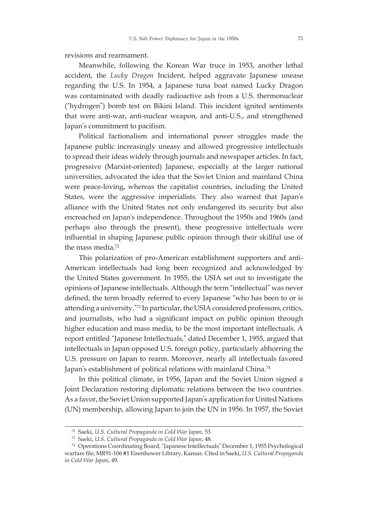revisions and rearmament.

Meanwhile, following the Korean War truce in 1953, another lethal accident, the *Lucky Dragon* Incident, helped aggravate Japanese unease regarding the U.S. In 1954, a Japanese tuna boat named Lucky Dragon was contaminated with deadly radioactive ash from a U.S. thermonuclear ("hydrogen") bomb test on Bikini Island. This incident ignited sentiments that were anti-war, anti-nuclear weapon, and anti-U.S., and strengthened Japan's commitment to pacifism.

Political factionalism and international power struggles made the Japanese public increasingly uneasy and allowed progressive intellectuals to spread their ideas widely through journals and newspaper articles. In fact, progressive (Marxist-oriented) Japanese, especially at the larger national universities, advocated the idea that the Soviet Union and mainland China were peace-loving, whereas the capitalist countries, including the United States, were the aggressive imperialists. They also warned that Japan's alliance with the United States not only endangered its security but also encroached on Japan's independence. Throughout the 1950s and 1960s (and perhaps also through the present), these progressive intellectuals were influential in shaping Japanese public opinion through their skillful use of the mass media. 72

This polarization of pro-American establishment supporters and anti-American intellectuals had long been recognized and acknowledged by the United States government. In 1955, the USIA set out to investigate the opinions of Japanese intellectuals. Although the term "intellectual" was never defined, the term broadly referred to every Japanese "who has been to or is attending a university."73 In particular, the USIA considered professors, critics, and journalists, who had a significant impact on public opinion through higher education and mass media, to be the most important intellectuals. A report entitled "Japanese Intellectuals," dated December 1, 1955, argued that intellectuals in Japan opposed U.S. foreign policy, particularly abhorring the U.S. pressure on Japan to rearm. Moreover, nearly all intellectuals favored Japan's establishment of political relations with mainland China. 74

In this political climate, in 1956, Japan and the Soviet Union signed a Joint Declaration restoring diplomatic relations between the two countries. As a favor, the Soviet Union supported Japan's application for United Nations (UN) membership, allowing Japan to join the UN in 1956. In 1957, the Soviet

<sup>72</sup> Saeki, *U.S. Cultural Propaganda in Cold War Japan*, 53.

<sup>73</sup> Saeki, *U.S. Cultural Propaganda in Cold War Japan*, 48.

<sup>74</sup> Operations Coordinating Board, "Japanese Intellectuals" December 1, 1955 Psychological warfare file, MR91-106 #1 Eisenhower Library, Kansas. Cited in Saeki, *U.S. Cultural Propaganda in Cold War Japan*, 49.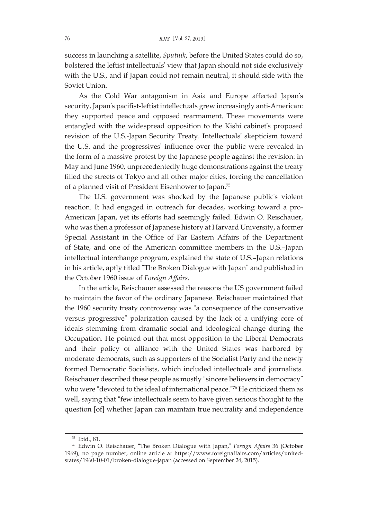success in launching a satellite, *Sputnik*, before the United States could do so, bolstered the leftist intellectuals' view that Japan should not side exclusively with the U.S., and if Japan could not remain neutral, it should side with the Soviet Union.

As the Cold War antagonism in Asia and Europe affected Japan's security, Japan's pacifist-leftist intellectuals grew increasingly anti-American: they supported peace and opposed rearmament. These movements were entangled with the widespread opposition to the Kishi cabinet's proposed revision of the U.S.-Japan Security Treaty. Intellectuals' skepticism toward the U.S. and the progressives' influence over the public were revealed in the form of a massive protest by the Japanese people against the revision: in May and June 1960, unprecedentedly huge demonstrations against the treaty filled the streets of Tokyo and all other major cities, forcing the cancellation of a planned visit of President Eisenhower to Japan. 75

The U.S. government was shocked by the Japanese public's violent reaction. It had engaged in outreach for decades, working toward a pro-American Japan, yet its efforts had seemingly failed. Edwin O. Reischauer, who was then a professor of Japanese history at Harvard University, a former Special Assistant in the Office of Far Eastern Affairs of the Department of State, and one of the American committee members in the U.S.–Japan intellectual interchange program, explained the state of U.S.–Japan relations in his article, aptly titled "The Broken Dialogue with Japan" and published in the October 1960 issue of *Foreign Affairs*.

In the article, Reischauer assessed the reasons the US government failed to maintain the favor of the ordinary Japanese. Reischauer maintained that the 1960 security treaty controversy was "a consequence of the conservative versus progressive" polarization caused by the lack of a unifying core of ideals stemming from dramatic social and ideological change during the Occupation. He pointed out that most opposition to the Liberal Democrats and their policy of alliance with the United States was harbored by moderate democrats, such as supporters of the Socialist Party and the newly formed Democratic Socialists, which included intellectuals and journalists. Reischauer described these people as mostly "sincere believers in democracy" who were "devoted to the ideal of international peace."<sup>76</sup> He criticized them as well, saying that "few intellectuals seem to have given serious thought to the question [of] whether Japan can maintain true neutrality and independence

<sup>75</sup> Ibid., 81.

<sup>76</sup> Edwin O. Reischauer, "The Broken Dialogue with Japan," *Foreign Affairs* 36 (October 1969), no page number, online article at https://www.foreignaffairs.com/articles/unitedstates/1960-10-01/broken-dialogue-japan (accessed on September 24, 2015).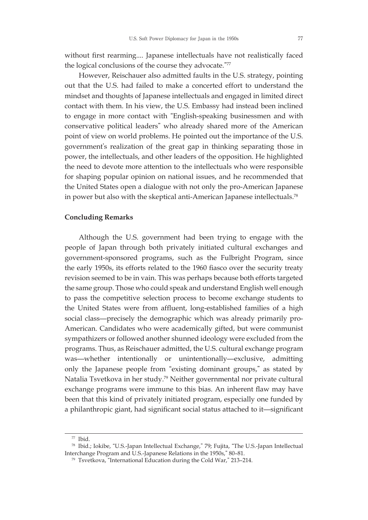without first rearming.... Japanese intellectuals have not realistically faced the logical conclusions of the course they advocate."77

However, Reischauer also admitted faults in the U.S. strategy, pointing out that the U.S. had failed to make a concerted effort to understand the mindset and thoughts of Japanese intellectuals and engaged in limited direct contact with them. In his view, the U.S. Embassy had instead been inclined to engage in more contact with "English-speaking businessmen and with conservative political leaders" who already shared more of the American point of view on world problems. He pointed out the importance of the U.S. government's realization of the great gap in thinking separating those in power, the intellectuals, and other leaders of the opposition. He highlighted the need to devote more attention to the intellectuals who were responsible for shaping popular opinion on national issues, and he recommended that the United States open a dialogue with not only the pro-American Japanese in power but also with the skeptical anti-American Japanese intellectuals. 78

#### **Concluding Remarks**

Although the U.S. government had been trying to engage with the people of Japan through both privately initiated cultural exchanges and government-sponsored programs, such as the Fulbright Program, since the early 1950s, its efforts related to the 1960 fiasco over the security treaty revision seemed to be in vain. This was perhaps because both efforts targeted the same group. Those who could speak and understand English well enough to pass the competitive selection process to become exchange students to the United States were from affluent, long-established families of a high social class—precisely the demographic which was already primarily pro-American. Candidates who were academically gifted, but were communist sympathizers or followed another shunned ideology were excluded from the programs. Thus, as Reischauer admitted, the U.S. cultural exchange program was—whether intentionally or unintentionally—exclusive, admitting only the Japanese people from "existing dominant groups," as stated by Natalia Tsvetkova in her study. <sup>79</sup> Neither governmental nor private cultural exchange programs were immune to this bias. An inherent flaw may have been that this kind of privately initiated program, especially one funded by a philanthropic giant, had significant social status attached to it—significant

<sup>77</sup> Ibid.

<sup>78</sup> Ibid.; Iokibe, "U.S.-Japan Intellectual Exchange," 79; Fujita, "The U.S.-Japan Intellectual Interchange Program and U.S.-Japanese Relations in the 1950s," 80–81.

<sup>79</sup> Tsvetkova, "International Education during the Cold War," 213–214.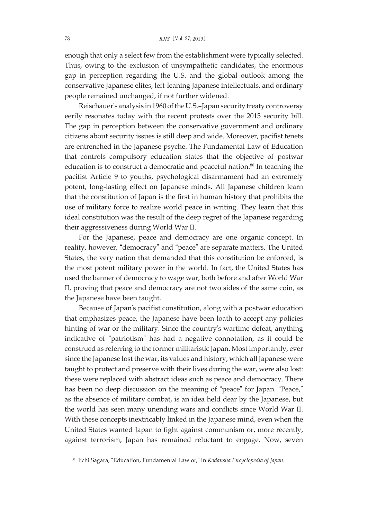enough that only a select few from the establishment were typically selected. Thus, owing to the exclusion of unsympathetic candidates, the enormous gap in perception regarding the U.S. and the global outlook among the conservative Japanese elites, left-leaning Japanese intellectuals, and ordinary people remained unchanged, if not further widened.

Reischauer's analysis in 1960 of the U.S.-Japan security treaty controversy eerily resonates today with the recent protests over the 2015 security bill. The gap in perception between the conservative government and ordinary citizens about security issues is still deep and wide. Moreover, pacifist tenets are entrenched in the Japanese psyche. The Fundamental Law of Education that controls compulsory education states that the objective of postwar education is to construct a democratic and peaceful nation. <sup>80</sup> In teaching the pacifist Article 9 to youths, psychological disarmament had an extremely potent, long-lasting effect on Japanese minds. All Japanese children learn that the constitution of Japan is the first in human history that prohibits the use of military force to realize world peace in writing. They learn that this ideal constitution was the result of the deep regret of the Japanese regarding their aggressiveness during World War II.

For the Japanese, peace and democracy are one organic concept. In reality, however, "democracy" and "peace" are separate matters. The United States, the very nation that demanded that this constitution be enforced, is the most potent military power in the world. In fact, the United States has used the banner of democracy to wage war, both before and after World War II, proving that peace and democracy are not two sides of the same coin, as the Japanese have been taught.

Because of Japan's pacifist constitution, along with a postwar education that emphasizes peace, the Japanese have been loath to accept any policies hinting of war or the military. Since the country's wartime defeat, anything indicative of "patriotism" has had a negative connotation, as it could be construed as referring to the former militaristic Japan. Most importantly, ever since the Japanese lost the war, its values and history, which all Japanese were taught to protect and preserve with their lives during the war, were also lost: these were replaced with abstract ideas such as peace and democracy. There has been no deep discussion on the meaning of "peace" for Japan. "Peace," as the absence of military combat, is an idea held dear by the Japanese, but the world has seen many unending wars and conflicts since World War II. With these concepts inextricably linked in the Japanese mind, even when the United States wanted Japan to fight against communism or, more recently, against terrorism, Japan has remained reluctant to engage. Now, seven

<sup>80</sup> Iichi Sagara, "Education, Fundamental Law of," in *Kodansha Encyclopedia of Japan*.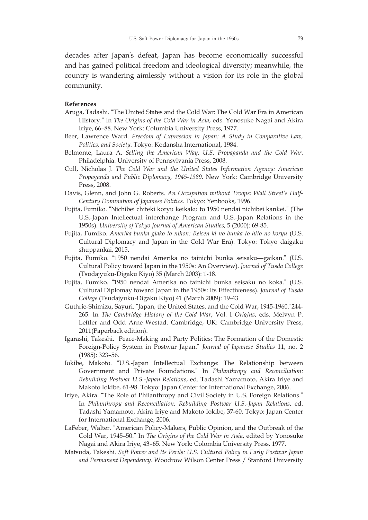decades after Japan's defeat, Japan has become economically successful and has gained political freedom and ideological diversity; meanwhile, the country is wandering aimlessly without a vision for its role in the global community.

#### **References**

- Aruga, Tadashi. "The United States and the Cold War: The Cold War Era in American History." In *The Origins of the Cold War in Asia*, eds. Yonosuke Nagai and Akira Iriye, 66–88. New York: Columbia University Press, 1977.
- Beer, Lawrence Ward. *Freedom of Expression in Japan: A Study in Comparative Law, Politics, and Society*. Tokyo: Kodansha International, 1984.
- Belmonte, Laura A. *Selling the American Way: U.S. Propaganda and the Cold War*. Philadelphia: University of Pennsylvania Press, 2008.
- Cull, Nicholas J. *The Cold War and the United States Information Agency: American Propaganda and Public Diplomacy, 1945-1989*. New York: Cambridge University Press, 2008.
- Davis, Glenn, and John G. Roberts. *An Occupation without Troops: Wall Street's Half-Century Domination of Japanese Politics*. Tokyo: Yenbooks, 1996.
- Fujita, Fumiko. "Nichibei chiteki koryu keikaku to 1950 nendai nichibei kankei." (The U.S.-Japan Intellectual interchange Program and U.S.-Japan Relations in the 1950s). *University of Tokyo Journal of American Studies*, 5 (2000): 69-85.
- Fujita, Fumiko. *Amerika bunka giako to nihon: Reisen ki no bunka to hito no koryu* (U.S. Cultural Diplomacy and Japan in the Cold War Era). Tokyo: Tokyo daigaku shuppankai, 2015.
- Fujita, Fumiko. "1950 nendai Amerika no tainichi bunka seisaku—gaikan." (U.S. Cultural Policy toward Japan in the 1950s: An Overview). *Journal of Tusda College* (Tsudajyuku-Digaku Kiyo) 35 (March 2003): 1-18.
- Fujita, Fumiko. "1950 nendai Amerika no tainichi bunka seisaku no koka." (U.S. Cultural Diplomay toward Japan in the 1950s: Its Effectiveness). *Journal of Tusda College* (Tsudajyuku-Digaku Kiyo) 41 (March 2009): 19-43
- Guthrie-Shimizu, Sayuri. "Japan, the United States, and the Cold War, 1945-1960."244- 265. In *The Cambridge History of the Cold War*, Vol. I *Origins*, eds. Melvyn P. Leffler and Odd Arne Westad. Cambridge, UK: Cambridge University Press, 2011(Paperback edition).
- Igarashi, Takeshi. "Peace-Making and Party Politics: The Formation of the Domestic Foreign-Policy System in Postwar Japan." *Journal of Japanese Studies* 11, no. 2 (1985): 323–56.
- Iokibe, Makoto. "U.S.-Japan Intellectual Exchange: The Relationship between Government and Private Foundations." In *Philanthropy and Reconciliation: Rebuilding Postwar U.S.-Japan Relations*, ed. Tadashi Yamamoto, Akira Iriye and Makoto Iokibe, 61-98. Tokyo: Japan Center for International Exchange, 2006.
- Iriye, Akira. "The Role of Philanthropy and Civil Society in U.S. Foreign Relations." In *Philanthropy and Reconciliation: Rebuilding Postwar U.S.-Japan Relations*, ed. Tadashi Yamamoto, Akira Iriye and Makoto Iokibe, 37-60. Tokyo: Japan Center for International Exchange, 2006.
- LaFeber, Walter. "American Policy-Makers, Public Opinion, and the Outbreak of the Cold War, 1945–50." In *The Origins of the Cold War in Asia*, edited by Yonosuke Nagai and Akira Iriye, 43–65. New York: Colombia University Press, 1977.
- Matsuda, Takeshi. *Soft Power and Its Perils: U.S. Cultural Policy in Early Postwar Japan and Permanent Dependency*. Woodrow Wilson Center Press / Stanford University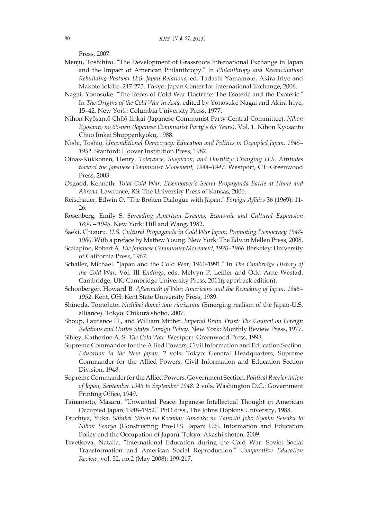Press, 2007.

- Menju, Toshihiro. "The Development of Grassroots International Exchange in Japan and the Impact of American Philanthropy." In *Philanthropy and Reconciliation: Rebuilding Postwar U.S.-Japan Relations*, ed. Tadashi Yamamoto, Akira Iriye and Makoto Iokibe, 247-275. Tokyo: Japan Center for International Exchange, 2006.
- Nagai, Yonosuke. "The Roots of Cold War Doctrine: The Esoteric and the Exoteric." In *The Origins of the Cold War in Asia*, edited by Yonosuke Nagai and Akira Iriye, 15–42. New York: Columbia University Press, 1977.
- Nihon Kyōsantō Chūō Iinkai (Japanese Communist Party Central Committee). *Nihon Kyōsantō no 65-nen (Japanese Communist Party's 65 Years)*. Vol. 1. Nihon Kyōsantō Chūo Iinkai Shuppankyoku, 1988.
- Nishi, Toshio. *Unconditional Democracy: Education and Politics in Occupied Japan, 1945– 1952*. Stanford: Hoover Institution Press, 1982.
- Oinas-Kukkonen, Henry. *Tolerance, Suspicion, and Hostility: Changing U.S. Attitudes toward the Japanese Communist Movement, 1944–1947*. Westport, CT: Greenwood Press, 2003
- Osgood, Kenneth. *Total Cold War: Eisenhower's Secret Propaganda Battle at Home and Abroad*. Lawrence, KS: The University Press of Kansas, 2006.
- Reischauer, Edwin O. "The Broken Dialogue with Japan." *Foreign Affairs* 36 (1969): 11- 26.
- Rosenberg, Emily S. *Spreading American Dreams: Economic and Cultural Expansion 1890—1945*. New York: Hill and Wang, 1982.
- Saeki, Chizuru. *U.S. Cultural Propaganda in Cold War Japan: Promoting Democracy 1948- 1960*. With a preface by Mattew Young. New York: The Edwin Mellen Press, 2008.
- Scalapino,RobertA. *The Japanese Communist Movement, 1920–1966*. Berkeley:University of California Press, 1967.
- Schaller, Michael. "Japan and the Cold War, 1960-1991." In *The Cambridge History of the Cold War*, Vol. III *Endings*, eds. Melvyn P. Leffler and Odd Arne Westad. Cambridge, UK: Cambridge University Press, 2011(paperback edition).
- Schonberger, Howard B. *Aftermath of War: Americans and the Remaking of Japan, 1945– 1952*. Kent, OH: Kent State University Press, 1989.
- Shinoda, Tomohito. *Nichibei domei toiu riarizumu* (Emerging realism of the Japan-U.S. alliance). Tokyo: Chikura shobo, 2007.
- Shoup, Laurence H., and William Minter. *Imperial Brain Trust: The Council on Foreign Relations and Unites States Foreign Policy*. New York: Monthly Review Press, 1977. Sibley, Katherine A. S. *The Cold War*. Westport: Greenwood Press, 1998.
- Supreme Commander for the Allied Powers. Civil Information and Education Section. *Education in the New Japan*. 2 vols. Tokyo: General Headquarters, Supreme Commander for the Allied Powers, Civil Information and Education Section Division, 1948.
- Supreme CommanderfortheAllied Powers. Government Section. *Political Reorientation of Japan, September 1945 to September 1948*. 2 vols. Washington D.C.: Government Printing Office, 1949.
- Tamamoto, Masaru. "Unwanted Peace: Japanese Intellectual Thought in American Occupied Japan, 1948–1952." PhD diss., The Johns Hopkins University, 1988.
- Tsuchiya, Yuka. *Shinbei Nihon no Kochiku: Amerika no Tainichi Joho Kyoiku Seisaku to Nihon Senryo* (Constructing Pro-U.S. Japan: U.S. Information and Education Policy and the Occupation of Japan). Tokyo: Akashi shoten, 2009.
- Tsvetkova, Natalia. "International Education during the Cold War: Soviet Social Transformation and American Social Reproduction." *Comparative Education Review*, vol. 52, no.2 (May 2008): 199-217.